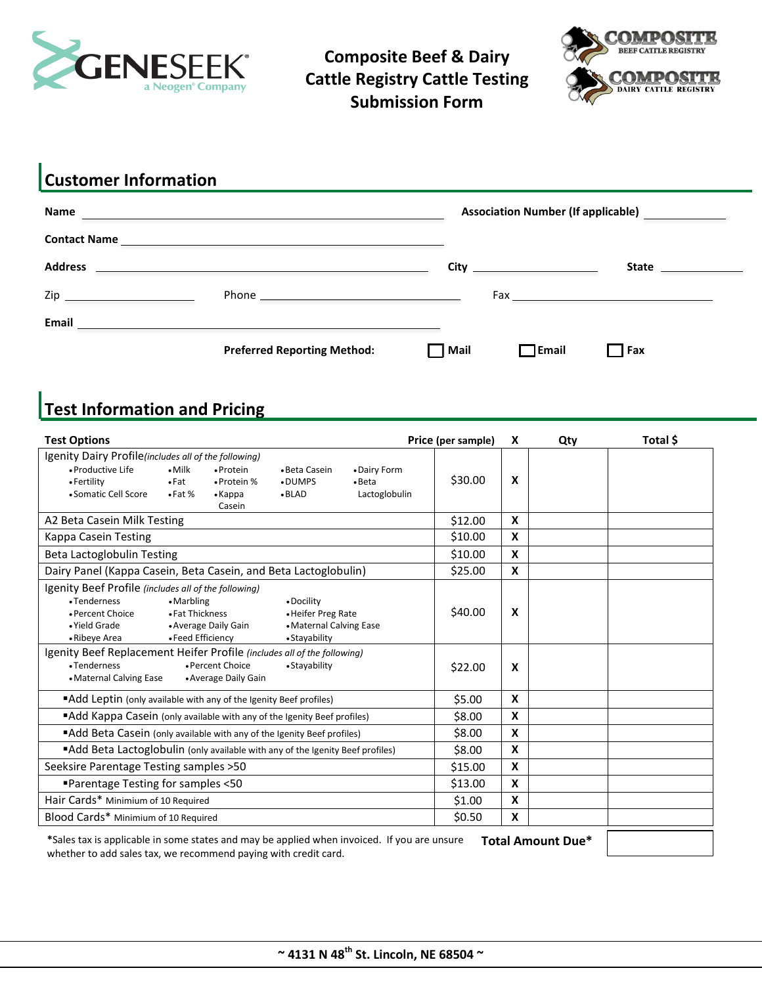

**Composite Beef & Dairy Cattle Registry Cattle Testing Submission Form**



## **Customer Information**

| <b>Name</b>                                                                                                    |                                    |      |                       | Association Number (If applicable) _____________                                                                                                                                                                               |
|----------------------------------------------------------------------------------------------------------------|------------------------------------|------|-----------------------|--------------------------------------------------------------------------------------------------------------------------------------------------------------------------------------------------------------------------------|
|                                                                                                                |                                    |      |                       |                                                                                                                                                                                                                                |
| <b>Address</b>                                                                                                 |                                    |      | <b>City City City</b> | State <b>State</b>                                                                                                                                                                                                             |
| Zip and the contract of the contract of the contract of the contract of the contract of the contract of the co |                                    |      |                       | Fax and the contract of the contract of the contract of the contract of the contract of the contract of the contract of the contract of the contract of the contract of the contract of the contract of the contract of the co |
| Email                                                                                                          |                                    |      |                       |                                                                                                                                                                                                                                |
|                                                                                                                | <b>Preferred Reporting Method:</b> | Mail | <b>TEmail</b>         | Fax                                                                                                                                                                                                                            |

# **Test Information and Pricing**

| <b>Test Options</b>                                                                                                                                            |                                                    |                                          |                                                                              |                                 | Price (per sample) | X                         | Qty                      | Total \$ |
|----------------------------------------------------------------------------------------------------------------------------------------------------------------|----------------------------------------------------|------------------------------------------|------------------------------------------------------------------------------|---------------------------------|--------------------|---------------------------|--------------------------|----------|
| Igenity Dairy Profile(includes all of the following)<br>• Productive Life                                                                                      | $\bullet$ Milk                                     | • Protein                                | • Beta Casein                                                                | • Dairy Form                    |                    |                           |                          |          |
| • Fertility<br>• Somatic Cell Score                                                                                                                            | $\bullet$ Fat<br>$\bullet$ Fat %                   | • Protein %<br>$\bullet$ Kappa<br>Casein | •DUMPS<br>$\bullet$ BLAD                                                     | $\bullet$ Beta<br>Lactoglobulin | \$30.00            | X                         |                          |          |
| A2 Beta Casein Milk Testing                                                                                                                                    |                                                    |                                          |                                                                              |                                 | \$12.00            | X                         |                          |          |
| Kappa Casein Testing                                                                                                                                           |                                                    |                                          |                                                                              |                                 | \$10.00            | X                         |                          |          |
| Beta Lactoglobulin Testing                                                                                                                                     |                                                    |                                          |                                                                              |                                 | \$10.00            | X                         |                          |          |
| Dairy Panel (Kappa Casein, Beta Casein, and Beta Lactoglobulin)                                                                                                |                                                    |                                          |                                                                              |                                 | \$25.00            | X                         |                          |          |
| Igenity Beef Profile (includes all of the following)<br>•Tenderness<br>• Percent Choice<br>· Yield Grade<br>• Ribeye Area                                      | • Marbling<br>• Fat Thickness<br>• Feed Efficiency | • Average Daily Gain                     | • Docility<br>• Heifer Preg Rate<br>• Maternal Calving Ease<br>• Stayability |                                 | \$40.00            | X                         |                          |          |
| Igenity Beef Replacement Heifer Profile (includes all of the following)<br>•Tenderness<br>• Maternal Calving Ease                                              |                                                    | • Percent Choice<br>• Average Daily Gain | • Stayability                                                                |                                 | \$22.00            | $\boldsymbol{x}$          |                          |          |
| "Add Leptin (only available with any of the Igenity Beef profiles)                                                                                             |                                                    |                                          |                                                                              |                                 | \$5.00             | $\boldsymbol{x}$          |                          |          |
| "Add Kappa Casein (only available with any of the Igenity Beef profiles)                                                                                       |                                                    |                                          |                                                                              |                                 | \$8.00             | X                         |                          |          |
| "Add Beta Casein (only available with any of the Igenity Beef profiles)                                                                                        |                                                    |                                          |                                                                              |                                 | \$8.00             | X                         |                          |          |
| "Add Beta Lactoglobulin (only available with any of the Igenity Beef profiles)                                                                                 |                                                    |                                          |                                                                              |                                 | \$8.00             | X                         |                          |          |
| Seeksire Parentage Testing samples > 50                                                                                                                        |                                                    |                                          |                                                                              |                                 | \$15.00            | $\boldsymbol{\mathsf{X}}$ |                          |          |
| ■Parentage Testing for samples <50                                                                                                                             |                                                    |                                          |                                                                              |                                 | \$13.00            | X                         |                          |          |
| Hair Cards* Minimium of 10 Required                                                                                                                            |                                                    |                                          |                                                                              |                                 | \$1.00             | X                         |                          |          |
| Blood Cards* Minimium of 10 Required                                                                                                                           |                                                    |                                          |                                                                              |                                 | \$0.50             | X                         |                          |          |
| *Sales tax is applicable in some states and may be applied when invoiced. If you are unsure<br>whether to add sales tax, we recommend paying with credit card. |                                                    |                                          |                                                                              |                                 |                    |                           | <b>Total Amount Due*</b> |          |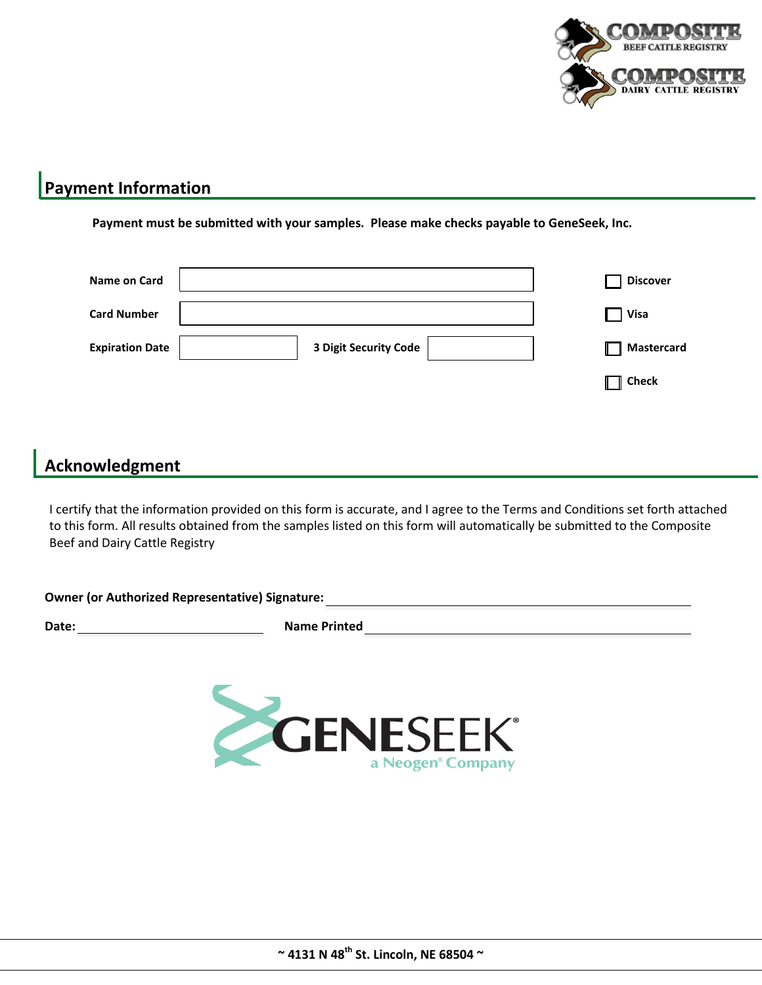

## **Payment Information**

**Payment must be submitted with your samples. Please make checks payable to GeneSeek, Inc.** 

| Name on Card           |                       |  | <b>Discover</b>   |
|------------------------|-----------------------|--|-------------------|
| <b>Card Number</b>     |                       |  | <b>Visa</b>       |
| <b>Expiration Date</b> | 3 Digit Security Code |  | <b>Mastercard</b> |
|                        |                       |  | $\parallel$ Check |
|                        |                       |  |                   |

## **Acknowledgment**

I certify that the information provided on this form is accurate, and I agree to the Terms and Conditions set forth attached to this form. All results obtained from the samples listed on this form will automatically be submitted to the Composite Beef and Dairy Cattle Registry

| <b>Owner (or Authorized Representative) Signature:</b> |                     |
|--------------------------------------------------------|---------------------|
| Date:                                                  | <b>Name Printed</b> |

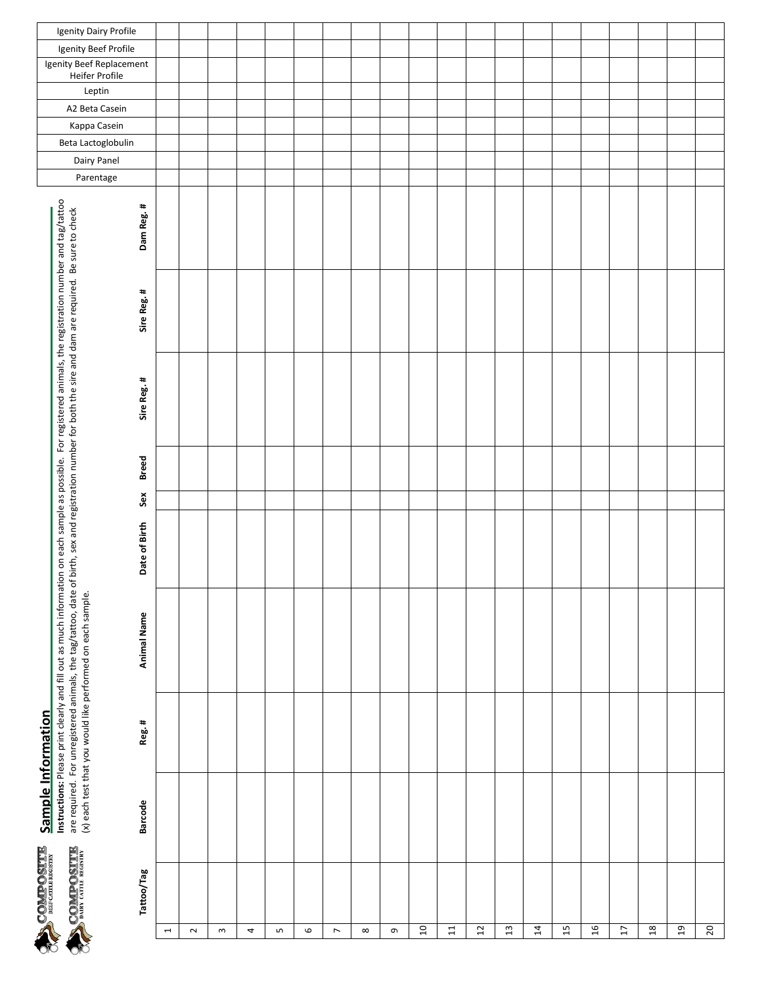

| ntormation |  |
|------------|--|
|            |  |
| Sample     |  |
|            |  |
| Ę          |  |

|                          | <b>CONTROLLER DEPARTMENT CATTLE REGISTRY</b> | odinpie iniurination |        | Instructions: Please print clearly and fill out as much information on each sample as possible. For registered animals, the registration number and tag/tattoo                                                             |               |                     |             |             |           |                          |                    |              |                          |                                            |                      |                       |
|--------------------------|----------------------------------------------|----------------------|--------|----------------------------------------------------------------------------------------------------------------------------------------------------------------------------------------------------------------------------|---------------|---------------------|-------------|-------------|-----------|--------------------------|--------------------|--------------|--------------------------|--------------------------------------------|----------------------|-----------------------|
| ŌС                       | <b>ETHISOGHIOS</b>                           |                      |        | are required. For unregistered animals, the tag/tattoo, date of birth, sex and registration number for both the sire and dam are required. Be sure to check<br>(x) each test that you would like performed on each sample. |               |                     |             |             |           | Dairy Panel<br>Parentage | Beta Lactoglobulin | Kappa Casein | Leptin<br>A2 Beta Casein | Igenity Beef Replacement<br>Heifer Profile | Igenity Beef Profile | Igenity Dairy Profile |
|                          | Tattoo/Tag                                   | <b>Barcode</b>       | Reg. # | Animal Name                                                                                                                                                                                                                | Date of Birth | <b>Breed</b><br>Sex | Sire Reg. # | Sire Reg. # | Dam Reg.# |                          |                    |              |                          |                                            |                      |                       |
| $\overline{\phantom{a}}$ |                                              |                      |        |                                                                                                                                                                                                                            |               |                     |             |             |           |                          |                    |              |                          |                                            |                      |                       |
| $\sim$                   |                                              |                      |        |                                                                                                                                                                                                                            |               |                     |             |             |           |                          |                    |              |                          |                                            |                      |                       |
| $\mathsf{c}$             |                                              |                      |        |                                                                                                                                                                                                                            |               |                     |             |             |           |                          |                    |              |                          |                                            |                      |                       |
| 4                        |                                              |                      |        |                                                                                                                                                                                                                            |               |                     |             |             |           |                          |                    |              |                          |                                            |                      |                       |
| S                        |                                              |                      |        |                                                                                                                                                                                                                            |               |                     |             |             |           |                          |                    |              |                          |                                            |                      |                       |
| $\mathbf \omega$         |                                              |                      |        |                                                                                                                                                                                                                            |               |                     |             |             |           |                          |                    |              |                          |                                            |                      |                       |
| $\overline{\phantom{a}}$ |                                              |                      |        |                                                                                                                                                                                                                            |               |                     |             |             |           |                          |                    |              |                          |                                            |                      |                       |
| $\infty$                 |                                              |                      |        |                                                                                                                                                                                                                            |               |                     |             |             |           |                          |                    |              |                          |                                            |                      |                       |
| G                        |                                              |                      |        |                                                                                                                                                                                                                            |               |                     |             |             |           |                          |                    |              |                          |                                            |                      |                       |
| 10                       |                                              |                      |        |                                                                                                                                                                                                                            |               |                     |             |             |           |                          |                    |              |                          |                                            |                      |                       |
| $\Xi$                    |                                              |                      |        |                                                                                                                                                                                                                            |               |                     |             |             |           |                          |                    |              |                          |                                            |                      |                       |
| $\overline{12}$          |                                              |                      |        |                                                                                                                                                                                                                            |               |                     |             |             |           |                          |                    |              |                          |                                            |                      |                       |
| $13$                     |                                              |                      |        |                                                                                                                                                                                                                            |               |                     |             |             |           |                          |                    |              |                          |                                            |                      |                       |
| $\overline{1}$           |                                              |                      |        |                                                                                                                                                                                                                            |               |                     |             |             |           |                          |                    |              |                          |                                            |                      |                       |
| $\frac{15}{2}$           |                                              |                      |        |                                                                                                                                                                                                                            |               |                     |             |             |           |                          |                    |              |                          |                                            |                      |                       |
| 16                       |                                              |                      |        |                                                                                                                                                                                                                            |               |                     |             |             |           |                          |                    |              |                          |                                            |                      |                       |
| $\overline{1}$           |                                              |                      |        |                                                                                                                                                                                                                            |               |                     |             |             |           |                          |                    |              |                          |                                            |                      |                       |
| $\frac{8}{18}$           |                                              |                      |        |                                                                                                                                                                                                                            |               |                     |             |             |           |                          |                    |              |                          |                                            |                      |                       |
| $29$                     |                                              |                      |        |                                                                                                                                                                                                                            |               |                     |             |             |           |                          |                    |              |                          |                                            |                      |                       |
| 20                       |                                              |                      |        |                                                                                                                                                                                                                            |               |                     |             |             |           |                          |                    |              |                          |                                            |                      |                       |